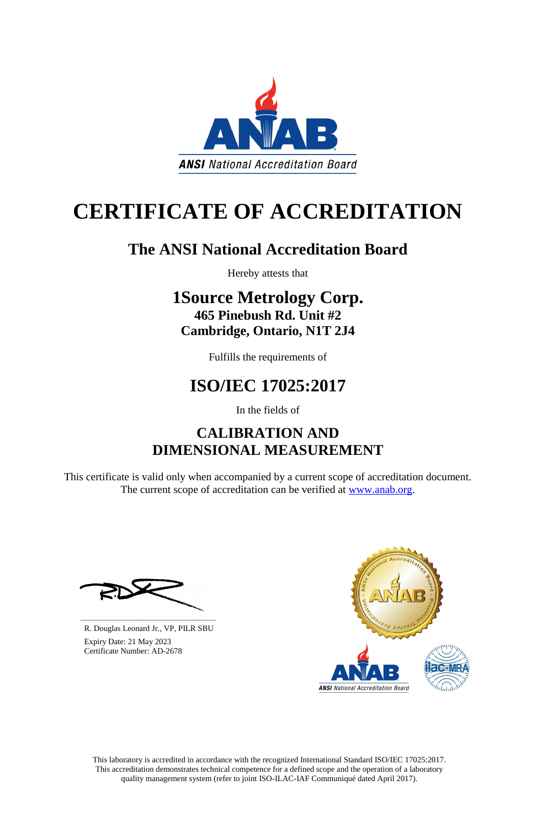This laboratory is accredited in accordance with the recognized International Standard ISO/IEC 17025:2017. This accreditation demonstrates technical competence for a defined scope and the operation of a laboratory quality management system (refer to joint ISO-ILAC-IAF Communiqué dated April 2017).

This certificate is valid only when accompanied by a current scope of accreditation document. The current scope of accreditation can be verified at [www.anab.org.](http://www.anab.org/)







# **CERTIFICATE OF ACCREDITATION**

### **The ANSI National Accreditation Board**

Hereby attests that

### **1Source Metrology Corp. 465 Pinebush Rd. Unit #2 Cambridge, Ontario, N1T 2J4**

Fulfills the requirements of

## **ISO/IEC 17025:2017**

In the fields of

### **CALIBRATION AND DIMENSIONAL MEASUREMENT**

**\_\_\_\_\_\_\_\_\_\_\_\_\_\_\_\_\_\_\_\_\_\_\_\_\_\_\_\_\_\_** R. Douglas Leonard Jr., VP, PILR SBU

 Expiry Date: 21 May 2023 Certificate Number: AD-2678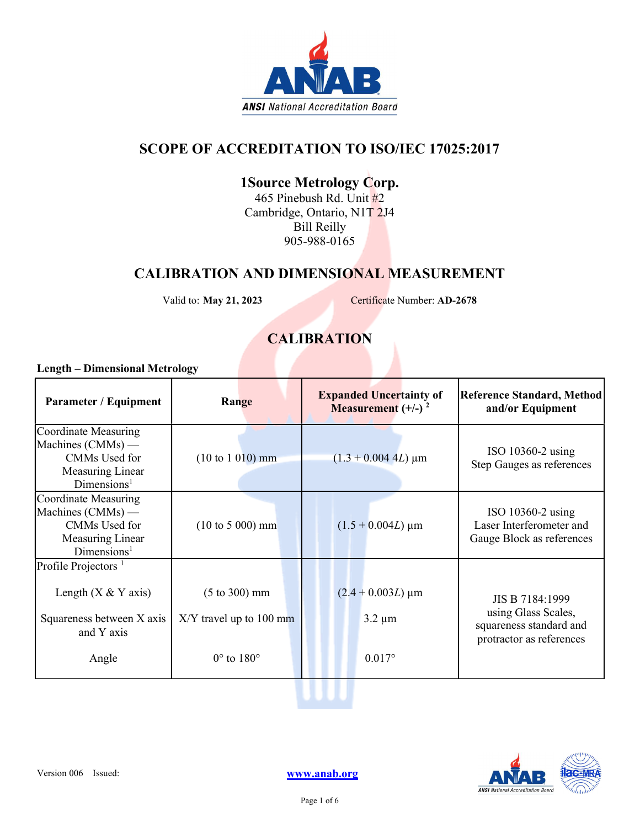

#### SCOPE OF ACCREDITATION TO ISO/IEC 17025:2017

### 1Source Metrology Corp.

465 Pinebush Rd. Unit #2 Cambridge, Ontario, N1T 2J4 Bill Reilly 905-988-0165

#### CALIBRATION AND DIMENSIONAL MEASUREMENT

Valid to: May 21, 2023 Certificate Number: AD-2678

#### **CALIBRATION**

#### Length – Dimensional Metrology

| <b>Parameter / Equipment</b>                                                                                 | Range                                                                                     | <b>Expanded Uncertainty of</b><br><b>Measurement</b> $(+/-)$ <sup>2</sup> | <b>Reference Standard, Method</b><br>and/or Equipment                                         |
|--------------------------------------------------------------------------------------------------------------|-------------------------------------------------------------------------------------------|---------------------------------------------------------------------------|-----------------------------------------------------------------------------------------------|
| Coordinate Measuring<br>Machines (CMMs) —<br>CMMs Used for<br>Measuring Linear<br>Dimensions <sup>1</sup>    | $(10 \text{ to } 1 \text{ 010}) \text{ mm}$                                               | $(1.3 + 0.004$ 4L) µm                                                     | ISO $10360-2$ using<br>Step Gauges as references                                              |
| Coordinate Measuring<br>Machines $(CMMs)$ —<br>CMMs Used for<br>Measuring Linear<br>Dimensions <sup>1</sup>  | $(10 \text{ to } 5 \text{ } 000) \text{ mm}$                                              | $(1.5 + 0.004L)$ µm                                                       | ISO $10360-2$ using<br>Laser Interferometer and<br>Gauge Block as references                  |
| Profile Projectors <sup>1</sup><br>Length $(X & Y axis)$<br>Squareness between X axis<br>and Y axis<br>Angle | $(5 \text{ to } 300) \text{ mm}$<br>$X/Y$ travel up to 100 mm<br>$0^\circ$ to $180^\circ$ | $(2.4 + 0.003L) \mu m$<br>$3.2 \mu m$<br>$0.017$ °                        | JIS B 7184:1999<br>using Glass Scales,<br>squareness standard and<br>protractor as references |



uuu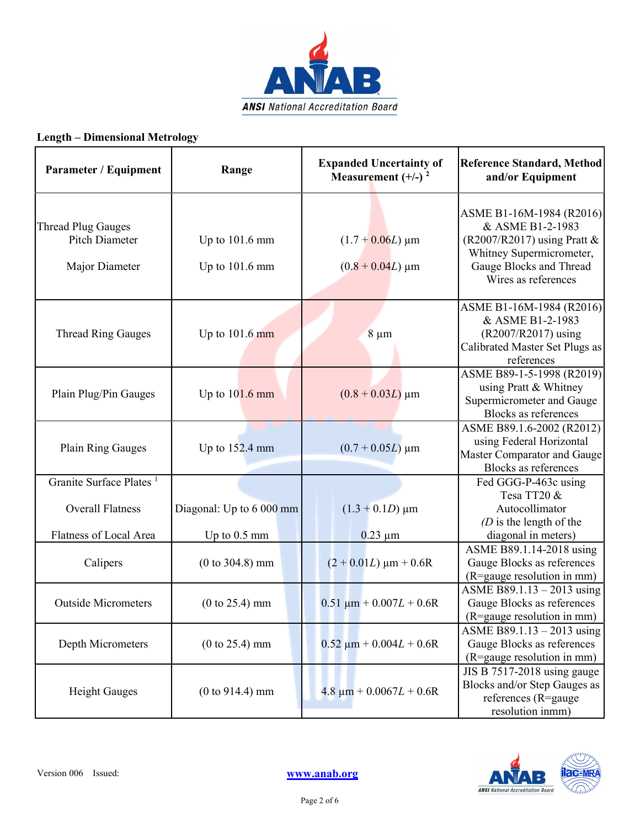

#### Length – Dimensional Metrology

| Parameter / Equipment                                                | Range                                | <b>Expanded Uncertainty of</b><br>Measurement $(+/-)$ <sup>2</sup> | <b>Reference Standard, Method</b><br>and/or Equipment                                                                                                       |
|----------------------------------------------------------------------|--------------------------------------|--------------------------------------------------------------------|-------------------------------------------------------------------------------------------------------------------------------------------------------------|
| <b>Thread Plug Gauges</b><br><b>Pitch Diameter</b><br>Major Diameter | Up to $101.6$ mm<br>Up to $101.6$ mm | $(1.7 + 0.06L) \,\mathrm{\upmu m}$<br>$(0.8 + 0.04L)$ µm           | ASME B1-16M-1984 (R2016)<br>& ASME B1-2-1983<br>(R2007/R2017) using Pratt $&$<br>Whitney Supermicrometer,<br>Gauge Blocks and Thread<br>Wires as references |
| <b>Thread Ring Gauges</b>                                            | Up to $101.6$ mm                     | $8 \mu m$                                                          | ASME B1-16M-1984 (R2016)<br>& ASME B1-2-1983<br>(R2007/R2017) using<br>Calibrated Master Set Plugs as<br>references                                         |
| Plain Plug/Pin Gauges                                                | Up to $101.6$ mm                     | $(0.8 + 0.03L)$ µm                                                 | ASME B89-1-5-1998 (R2019)<br>using Pratt & Whitney<br>Supermicrometer and Gauge<br>Blocks as references                                                     |
| Plain Ring Gauges                                                    | Up to 152.4 mm                       | $(0.7 + 0.05L)$ µm                                                 | ASME B89.1.6-2002 (R2012)<br>using Federal Horizontal<br>Master Comparator and Gauge<br><b>Blocks as references</b>                                         |
| Granite Surface Plates <sup>1</sup><br><b>Overall Flatness</b>       | Diagonal: Up to 6 000 mm             | $(1.3 + 0.1D) \,\mu m$                                             | Fed GGG-P-463c using<br>Tesa TT20 &<br>Autocollimator<br>$(D)$ is the length of the                                                                         |
| Flatness of Local Area<br>Calipers                                   | Up to $0.5$ mm<br>$(0 to 304.8)$ mm  | $0.23 \mu m$<br>$(2 + 0.01L) \mu m + 0.6R$                         | diagonal in meters)<br>ASME B89.1.14-2018 using<br>Gauge Blocks as references<br>(R=gauge resolution in mm)                                                 |
| <b>Outside Micrometers</b>                                           | $(0 to 25.4)$ mm                     | $0.51 \mu m + 0.007L + 0.6R$                                       | ASME B89.1.13 $-$ 2013 using<br>Gauge Blocks as references<br>(R=gauge resolution in mm)                                                                    |
| Depth Micrometers                                                    | $(0 to 25.4)$ mm                     | $0.52 \mu m + 0.004L + 0.6R$                                       | ASME B89.1.13 - 2013 using<br>Gauge Blocks as references<br>(R=gauge resolution in mm)                                                                      |
| <b>Height Gauges</b>                                                 | $(0 to 914.4)$ mm                    | $4.8 \mu m + 0.0067L + 0.6R$                                       | JIS B 7517-2018 using gauge<br>Blocks and/or Step Gauges as<br>references (R=gauge<br>resolution inmm)                                                      |

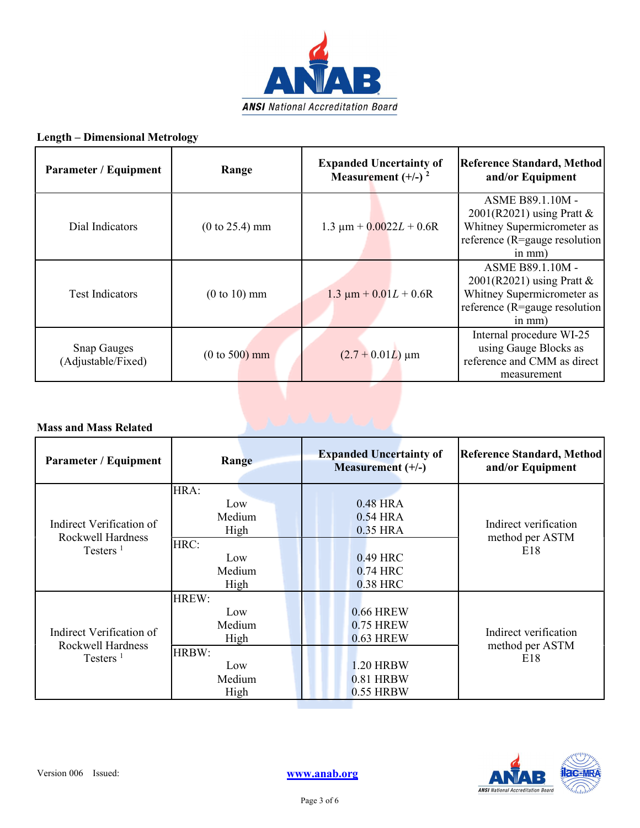

#### Length – Dimensional Metrology

| Parameter / Equipment                    | Range            | <b>Expanded Uncertainty of</b><br>Measurement $(+/-)$ <sup>2</sup> | Reference Standard, Method<br>and/or Equipment                                                                              |
|------------------------------------------|------------------|--------------------------------------------------------------------|-----------------------------------------------------------------------------------------------------------------------------|
| Dial Indicators                          | $(0 to 25.4)$ mm | $1.3 \mu m + 0.0022L + 0.6R$                                       | ASME B89.1.10M -<br>$2001(R2021)$ using Pratt &<br>Whitney Supermicrometer as<br>reference (R=gauge resolution<br>$in mm$ ) |
| <b>Test Indicators</b>                   | $(0 to 10)$ mm   | $1.3 \mu m + 0.01L + 0.6R$                                         | ASME B89.1.10M -<br>$2001(R2021)$ using Pratt &<br>Whitney Supermicrometer as<br>reference (R=gauge resolution<br>$in mm$ ) |
| <b>Snap Gauges</b><br>(Adjustable/Fixed) | $(0 to 500)$ mm  | $(2.7 + 0.01L)$ µm                                                 | Internal procedure WI-25<br>using Gauge Blocks as<br>reference and CMM as direct<br>measurement                             |

#### Mass and Mass Related

| <b>Parameter / Equipment</b>                                 | Range                                                            | <b>Expanded Uncertainty of</b><br>Measurement (+/-)                                      | Reference Standard, Method<br>and/or Equipment  |
|--------------------------------------------------------------|------------------------------------------------------------------|------------------------------------------------------------------------------------------|-------------------------------------------------|
| Indirect Verification of<br>Rockwell Hardness<br>Testers $1$ | HRA:<br>Low<br>Medium<br>High                                    | 0.48 HRA<br>0.54 HRA<br>0.35 HRA                                                         | Indirect verification<br>method per ASTM<br>E18 |
|                                                              | HRC:<br>Low<br>Medium<br>High                                    | 0.49 HRC<br>0.74 HRC<br>0.38 HRC                                                         |                                                 |
| Indirect Verification of<br>Rockwell Hardness<br>Testers $1$ | HREW:<br>Low<br>Medium<br>High<br>HRBW:<br>Low<br>Medium<br>High | 0.66 HREW<br>0.75 HREW<br><b>0.63 HREW</b><br><b>1.20 HRBW</b><br>0.81 HRBW<br>0.55 HRBW | Indirect verification<br>method per ASTM<br>E18 |

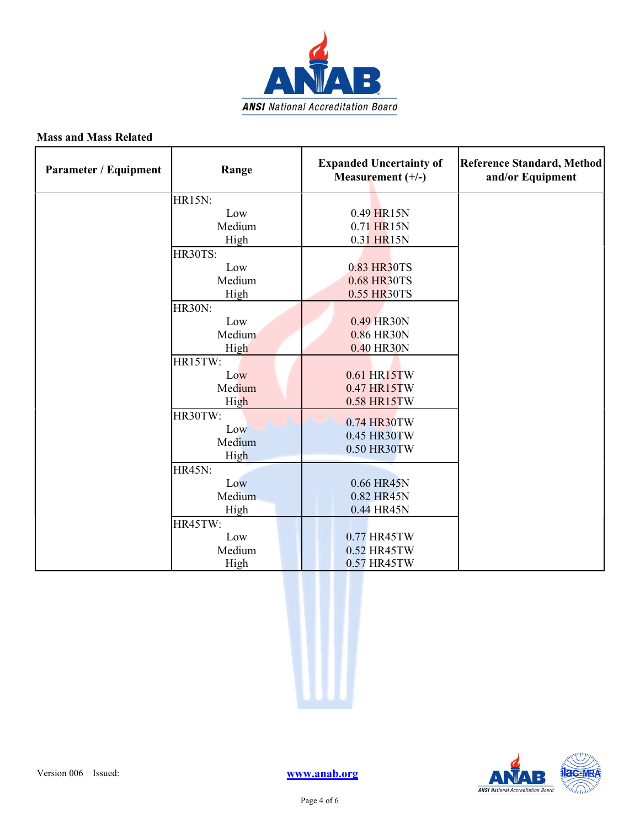

#### Mass and Mass Related

| <b>Parameter / Equipment</b> | Range                                                                              | <b>Expanded Uncertainty of</b><br>Measurement (+/-)                                                | <b>Reference Standard, Method</b><br>and/or Equipment |
|------------------------------|------------------------------------------------------------------------------------|----------------------------------------------------------------------------------------------------|-------------------------------------------------------|
|                              | HR15N:<br>Low<br>Medium<br>High<br>HR30TS:<br>Low<br>Medium                        | 0.49 HR15N<br>0.71 HR15N<br>0.31 HR15N<br>0.83 HR30TS<br>0.68 HR30TS                               |                                                       |
|                              | High<br><b>HR30N:</b><br>Low<br>Medium<br>High<br>HR15TW:<br>Low<br>Medium<br>High | 0.55 HR30TS<br>0.49 HR30N<br>0.86 HR30N<br>0.40 HR30N<br>0.61 HR15TW<br>0.47 HR15TW<br>0.58 HR15TW |                                                       |
|                              | HR30TW:<br>Low<br>Medium<br>High                                                   | 0.74 HR30TW<br>0.45 HR30TW<br>0.50 HR30TW                                                          |                                                       |
|                              | <b>HR45N:</b><br>Low<br>Medium<br>High                                             | 0.66 HR45N<br>0.82 HR45N<br>0.44 HR45N                                                             |                                                       |
|                              | HR45TW:<br>Low<br>Medium<br>High                                                   | 0.77 HR45TW<br>0.52 HR45TW<br>0.57 HR45TW                                                          |                                                       |



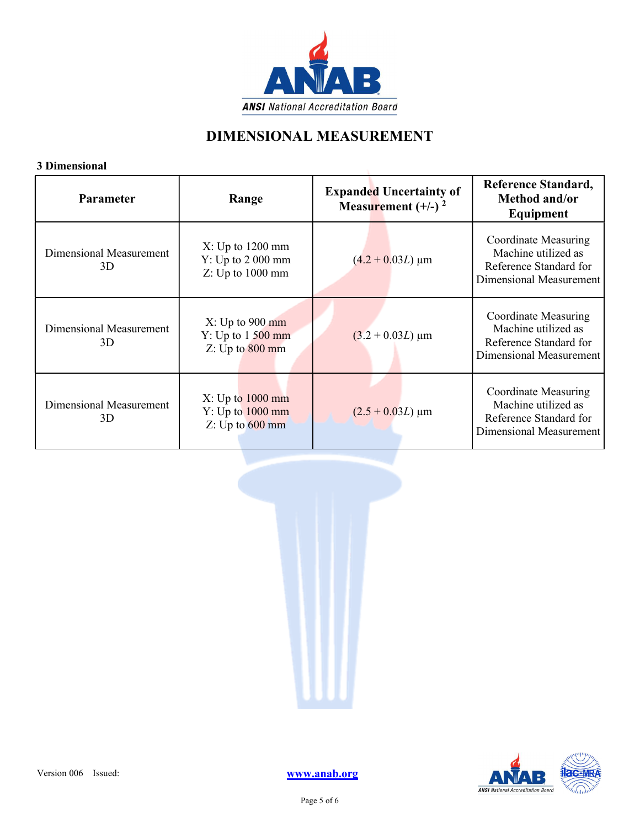

#### DIMENSIONAL MEASUREMENT

#### 3 Dimensional

| э ілшеняюцаг<br>Parameter     | Range                                                    | <b>Expanded Uncertainty of</b><br>Measurement $(+/-)$ <sup>2</sup> | <b>Reference Standard,</b><br>Method and/or<br>Equipment                                         |
|-------------------------------|----------------------------------------------------------|--------------------------------------------------------------------|--------------------------------------------------------------------------------------------------|
| Dimensional Measurement<br>3D | X: Up to 1200 mm<br>Y: Up to 2000 mm<br>Z: Up to 1000 mm | $(4.2 + 0.03L) \mu m$                                              | Coordinate Measuring<br>Machine utilized as<br>Reference Standard for<br>Dimensional Measurement |
| Dimensional Measurement<br>3D | X: Up to 900 mm<br>Y: Up to 1 500 mm<br>Z: Up to 800 mm  | $(3.2 + 0.03L) \mu m$                                              | Coordinate Measuring<br>Machine utilized as<br>Reference Standard for<br>Dimensional Measurement |
| Dimensional Measurement<br>3D | X: Up to 1000 mm<br>Y: Up to 1000 mm<br>Z: Up to 600 mm  | $(2.5 + 0.03L) \mu m$                                              | Coordinate Measuring<br>Machine utilized as<br>Reference Standard for<br>Dimensional Measurement |